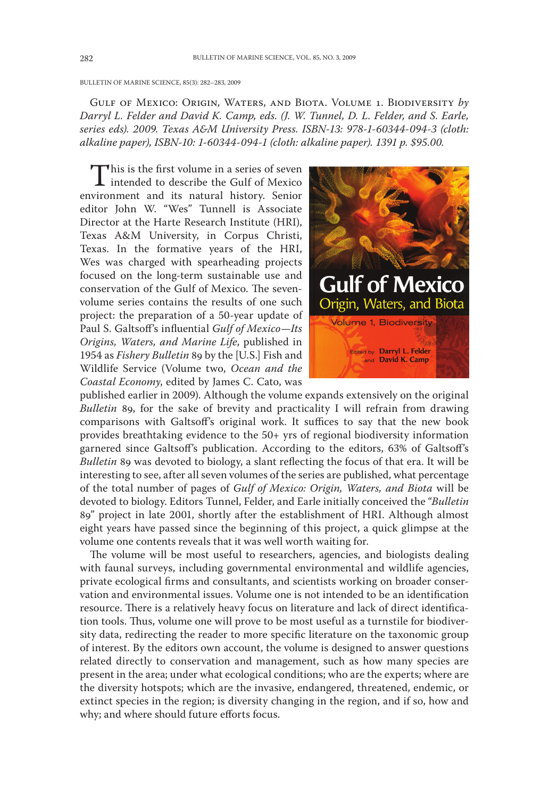BULLETIN OF MARINE SCIENCE, 85(3): 282-283, 2009

GULF OF MEXICO: ORIGIN, WATERS, AND BIOTA. VOLUME 1. BIODIVERSITY by Darryl L. Felder and David K. Camp, eds. (J. W. Tunnel, D. L. Felder, and S. Earle, series eds). 2009. Texas A&M University Press. ISBN-13: 978-1-60344-094-3 (cloth: alkaline paper), ISBN-10: 1-60344-094-1 (cloth: alkaline paper). 1391 p. \$95.00.

This is the first volume in a series of seven intended to describe the Gulf of Mexico environment and its natural history. Senior editor John W. "Wes" Tunnell is Associate Director at the Harte Research Institute (HRI), Texas A&M University, in Corpus Christi, Texas. In the formative years of the HRI, Wes was charged with spearheading projects focused on the long-term sustainable use and conservation of the Gulf of Mexico. The sevenvolume series contains the results of one such project: the preparation of a 50-year update of Paul S. Galtsoff's influential Gulf of Mexico-Its Origins, Waters, and Marine Life, published in 1954 as Fishery Bulletin 89 by the [U.S.] Fish and Wildlife Service (Volume two, Ocean and the Coastal Economy, edited by James C. Cato, was



published earlier in 2009). Although the volume expands extensively on the original Bulletin 89, for the sake of brevity and practicality I will refrain from drawing comparisons with Galtsoff's original work. It suffices to say that the new book provides breathtaking evidence to the 50+ yrs of regional biodiversity information garnered since Galtsoff's publication. According to the editors, 63% of Galtsoff's Bulletin 89 was devoted to biology, a slant reflecting the focus of that era. It will be interesting to see, after all seven volumes of the series are published, what percentage of the total number of pages of Gulf of Mexico: Origin, Waters, and Biota will be devoted to biology. Editors Tunnel, Felder, and Earle initially conceived the "Bulletin 89" project in late 2001, shortly after the establishment of HRI. Although almost eight years have passed since the beginning of this project, a quick glimpse at the volume one contents reveals that it was well worth waiting for.

The volume will be most useful to researchers, agencies, and biologists dealing with faunal surveys, including governmental environmental and wildlife agencies, private ecological firms and consultants, and scientists working on broader conservation and environmental issues. Volume one is not intended to be an identification resource. There is a relatively heavy focus on literature and lack of direct identification tools. Thus, volume one will prove to be most useful as a turnstile for biodiversity data, redirecting the reader to more specific literature on the taxonomic group of interest. By the editors own account, the volume is designed to answer questions related directly to conservation and management, such as how many species are present in the area; under what ecological conditions; who are the experts; where are the diversity hotspots; which are the invasive, endangered, threatened, endemic, or extinct species in the region; is diversity changing in the region, and if so, how and why; and where should future efforts focus.